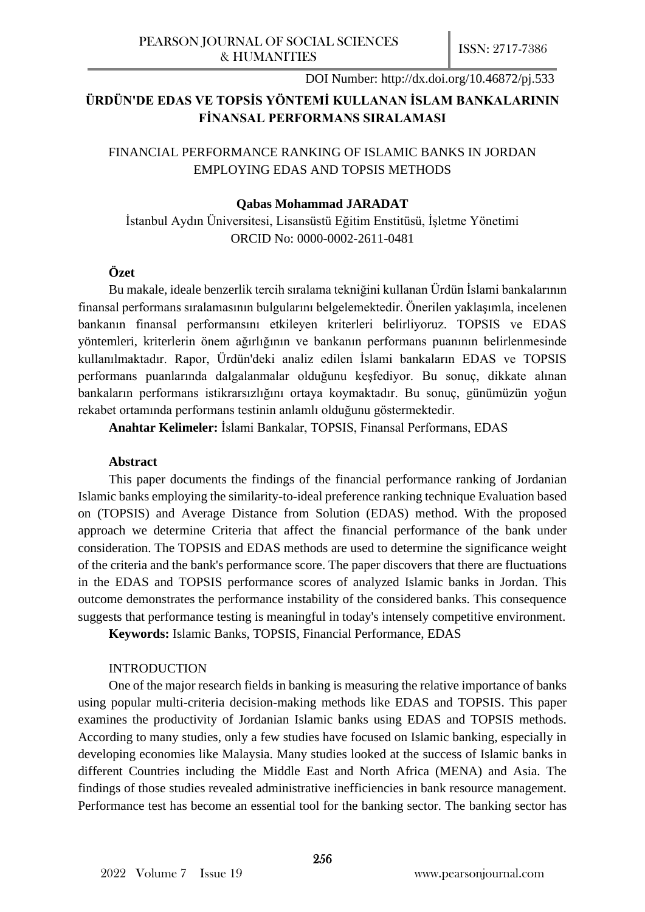## **ÜRDÜN'DE EDAS VE TOPSİS YÖNTEMİ KULLANAN İSLAM BANKALARININ FİNANSAL PERFORMANS SIRALAMASI**

## FINANCIAL PERFORMANCE RANKING OF ISLAMIC BANKS IN JORDAN EMPLOYING EDAS AND TOPSIS METHODS

## **Qabas Mohammad JARADAT**

İstanbul Aydın Üniversitesi, Lisansüstü Eğitim Enstitüsü, İşletme Yönetimi ORCID No: 0000-0002-2611-0481

#### **Özet**

Bu makale, ideale benzerlik tercih sıralama tekniğini kullanan Ürdün İslami bankalarının finansal performans sıralamasının bulgularını belgelemektedir. Önerilen yaklaşımla, incelenen bankanın finansal performansını etkileyen kriterleri belirliyoruz. TOPSIS ve EDAS yöntemleri, kriterlerin önem ağırlığının ve bankanın performans puanının belirlenmesinde kullanılmaktadır. Rapor, Ürdün'deki analiz edilen İslami bankaların EDAS ve TOPSIS performans puanlarında dalgalanmalar olduğunu keşfediyor. Bu sonuç, dikkate alınan bankaların performans istikrarsızlığını ortaya koymaktadır. Bu sonuç, günümüzün yoğun rekabet ortamında performans testinin anlamlı olduğunu göstermektedir.

**Anahtar Kelimeler:** İslami Bankalar, TOPSIS, Finansal Performans, EDAS

#### **Abstract**

This paper documents the findings of the financial performance ranking of Jordanian Islamic banks employing the similarity-to-ideal preference ranking technique Evaluation based on (TOPSIS) and Average Distance from Solution (EDAS) method. With the proposed approach we determine Criteria that affect the financial performance of the bank under consideration. The TOPSIS and EDAS methods are used to determine the significance weight of the criteria and the bank's performance score. The paper discovers that there are fluctuations in the EDAS and TOPSIS performance scores of analyzed Islamic banks in Jordan. This outcome demonstrates the performance instability of the considered banks. This consequence suggests that performance testing is meaningful in today's intensely competitive environment.

**Keywords:** Islamic Banks, TOPSIS, Financial Performance, EDAS

#### INTRODUCTION

One of the major research fields in banking is measuring the relative importance of banks using popular multi-criteria decision-making methods like EDAS and TOPSIS. This paper examines the productivity of Jordanian Islamic banks using EDAS and TOPSIS methods. According to many studies, only a few studies have focused on Islamic banking, especially in developing economies like Malaysia. Many studies looked at the success of Islamic banks in different Countries including the Middle East and North Africa (MENA) and Asia. The findings of those studies revealed administrative inefficiencies in bank resource management. Performance test has become an essential tool for the banking sector. The banking sector has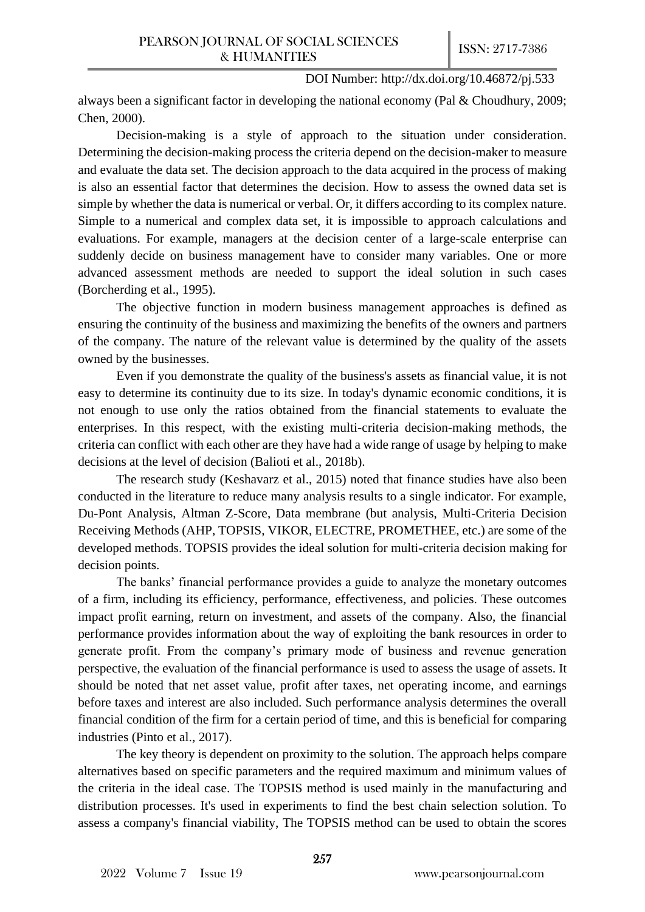always been a significant factor in developing the national economy (Pal & Choudhury, 2009; Chen, 2000).

Decision-making is a style of approach to the situation under consideration. Determining the decision-making process the criteria depend on the decision-maker to measure and evaluate the data set. The decision approach to the data acquired in the process of making is also an essential factor that determines the decision. How to assess the owned data set is simple by whether the data is numerical or verbal. Or, it differs according to its complex nature. Simple to a numerical and complex data set, it is impossible to approach calculations and evaluations. For example, managers at the decision center of a large-scale enterprise can suddenly decide on business management have to consider many variables. One or more advanced assessment methods are needed to support the ideal solution in such cases (Borcherding et al., 1995).

The objective function in modern business management approaches is defined as ensuring the continuity of the business and maximizing the benefits of the owners and partners of the company. The nature of the relevant value is determined by the quality of the assets owned by the businesses.

Even if you demonstrate the quality of the business's assets as financial value, it is not easy to determine its continuity due to its size. In today's dynamic economic conditions, it is not enough to use only the ratios obtained from the financial statements to evaluate the enterprises. In this respect, with the existing multi-criteria decision-making methods, the criteria can conflict with each other are they have had a wide range of usage by helping to make decisions at the level of decision (Balioti et al., 2018b).

The research study (Keshavarz et al., 2015) noted that finance studies have also been conducted in the literature to reduce many analysis results to a single indicator. For example, Du-Pont Analysis, Altman Z-Score, Data membrane (but analysis, Multi-Criteria Decision Receiving Methods (AHP, TOPSIS, VIKOR, ELECTRE, PROMETHEE, etc.) are some of the developed methods. TOPSIS provides the ideal solution for multi-criteria decision making for decision points.

The banks' financial performance provides a guide to analyze the monetary outcomes of a firm, including its efficiency, performance, effectiveness, and policies. These outcomes impact profit earning, return on investment, and assets of the company. Also, the financial performance provides information about the way of exploiting the bank resources in order to generate profit. From the company's primary mode of business and revenue generation perspective, the evaluation of the financial performance is used to assess the usage of assets. It should be noted that net asset value, profit after taxes, net operating income, and earnings before taxes and interest are also included. Such performance analysis determines the overall financial condition of the firm for a certain period of time, and this is beneficial for comparing industries (Pinto et al., 2017).

The key theory is dependent on proximity to the solution. The approach helps compare alternatives based on specific parameters and the required maximum and minimum values of the criteria in the ideal case. The TOPSIS method is used mainly in the manufacturing and distribution processes. It's used in experiments to find the best chain selection solution. To assess a company's financial viability, The TOPSIS method can be used to obtain the scores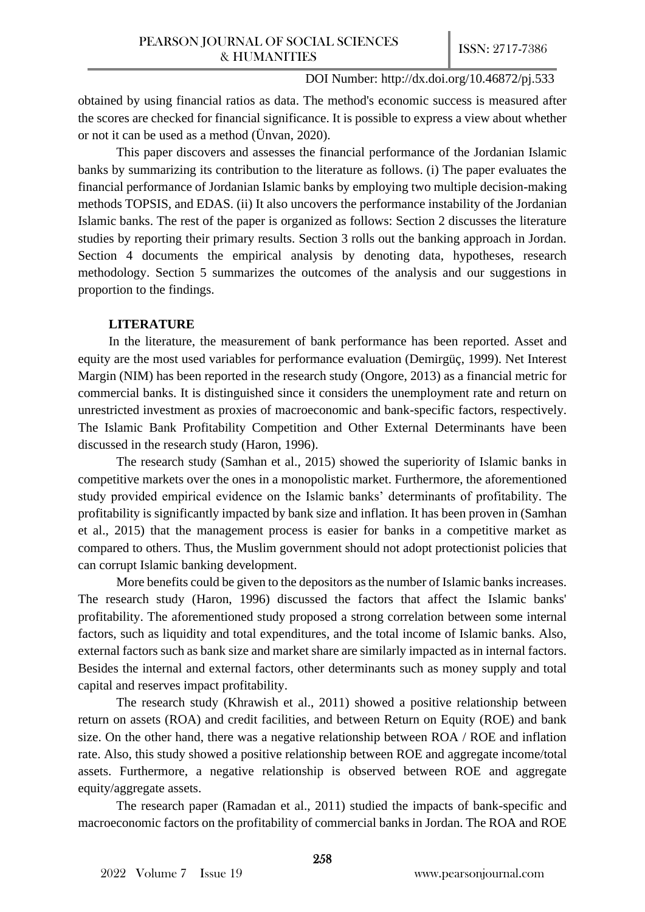obtained by using financial ratios as data. The method's economic success is measured after the scores are checked for financial significance. It is possible to express a view about whether or not it can be used as a method (Ünvan, 2020).

This paper discovers and assesses the financial performance of the Jordanian Islamic banks by summarizing its contribution to the literature as follows. (i) The paper evaluates the financial performance of Jordanian Islamic banks by employing two multiple decision-making methods TOPSIS, and EDAS. (ii) It also uncovers the performance instability of the Jordanian Islamic banks. The rest of the paper is organized as follows: Section 2 discusses the literature studies by reporting their primary results. Section 3 rolls out the banking approach in Jordan. Section 4 documents the empirical analysis by denoting data, hypotheses, research methodology. Section 5 summarizes the outcomes of the analysis and our suggestions in proportion to the findings.

## **LITERATURE**

In the literature, the measurement of bank performance has been reported. Asset and equity are the most used variables for performance evaluation (Demirgüç, 1999). Net Interest Margin (NIM) has been reported in the research study (Ongore, 2013) as a financial metric for commercial banks. It is distinguished since it considers the unemployment rate and return on unrestricted investment as proxies of macroeconomic and bank-specific factors, respectively. The Islamic Bank Profitability Competition and Other External Determinants have been discussed in the research study (Haron, 1996).

The research study (Samhan et al., 2015) showed the superiority of Islamic banks in competitive markets over the ones in a monopolistic market. Furthermore, the aforementioned study provided empirical evidence on the Islamic banks' determinants of profitability. The profitability is significantly impacted by bank size and inflation. It has been proven in (Samhan et al., 2015) that the management process is easier for banks in a competitive market as compared to others. Thus, the Muslim government should not adopt protectionist policies that can corrupt Islamic banking development.

More benefits could be given to the depositors as the number of Islamic banks increases. The research study (Haron, 1996) discussed the factors that affect the Islamic banks' profitability. The aforementioned study proposed a strong correlation between some internal factors, such as liquidity and total expenditures, and the total income of Islamic banks. Also, external factors such as bank size and market share are similarly impacted as in internal factors. Besides the internal and external factors, other determinants such as money supply and total capital and reserves impact profitability.

The research study (Khrawish et al., 2011) showed a positive relationship between return on assets (ROA) and credit facilities, and between Return on Equity (ROE) and bank size. On the other hand, there was a negative relationship between ROA / ROE and inflation rate. Also, this study showed a positive relationship between ROE and aggregate income/total assets. Furthermore, a negative relationship is observed between ROE and aggregate equity/aggregate assets.

The research paper (Ramadan et al., 2011) studied the impacts of bank-specific and macroeconomic factors on the profitability of commercial banks in Jordan. The ROA and ROE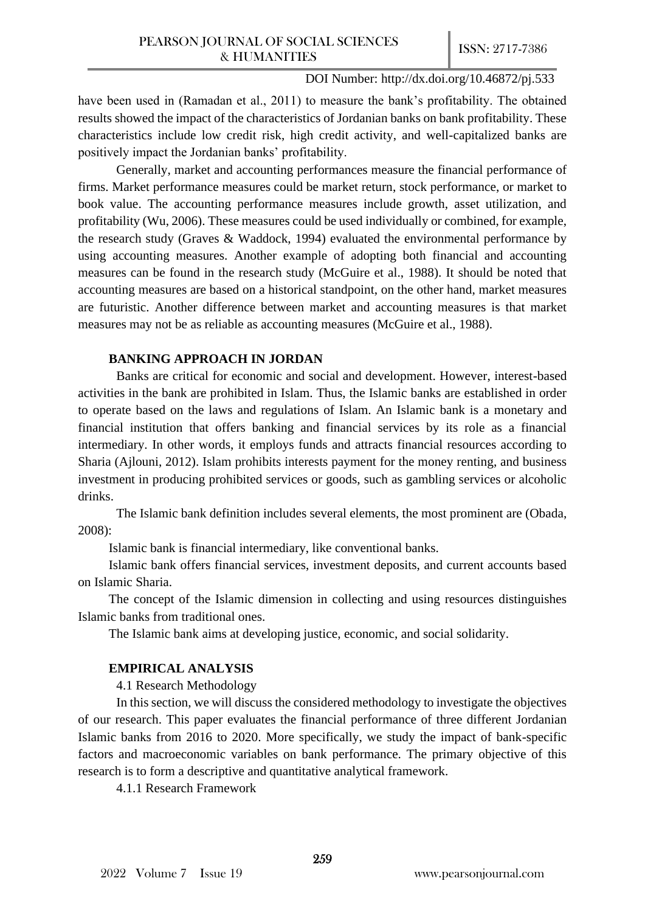have been used in (Ramadan et al., 2011) to measure the bank's profitability. The obtained results showed the impact of the characteristics of Jordanian banks on bank profitability. These characteristics include low credit risk, high credit activity, and well-capitalized banks are positively impact the Jordanian banks' profitability.

Generally, market and accounting performances measure the financial performance of firms. Market performance measures could be market return, stock performance, or market to book value. The accounting performance measures include growth, asset utilization, and profitability (Wu, 2006). These measures could be used individually or combined, for example, the research study (Graves & Waddock, 1994) evaluated the environmental performance by using accounting measures. Another example of adopting both financial and accounting measures can be found in the research study (McGuire et al., 1988). It should be noted that accounting measures are based on a historical standpoint, on the other hand, market measures are futuristic. Another difference between market and accounting measures is that market measures may not be as reliable as accounting measures (McGuire et al., 1988).

## **BANKING APPROACH IN JORDAN**

Banks are critical for economic and social and development. However, interest-based activities in the bank are prohibited in Islam. Thus, the Islamic banks are established in order to operate based on the laws and regulations of Islam. An Islamic bank is a monetary and financial institution that offers banking and financial services by its role as a financial intermediary. In other words, it employs funds and attracts financial resources according to Sharia (Ajlouni, 2012). Islam prohibits interests payment for the money renting, and business investment in producing prohibited services or goods, such as gambling services or alcoholic drinks.

The Islamic bank definition includes several elements, the most prominent are (Obada, 2008):

Islamic bank is financial intermediary, like conventional banks.

Islamic bank offers financial services, investment deposits, and current accounts based on Islamic Sharia.

The concept of the Islamic dimension in collecting and using resources distinguishes Islamic banks from traditional ones.

The Islamic bank aims at developing justice, economic, and social solidarity.

## **EMPIRICAL ANALYSIS**

4.1 Research Methodology

In this section, we will discuss the considered methodology to investigate the objectives of our research. This paper evaluates the financial performance of three different Jordanian Islamic banks from 2016 to 2020. More specifically, we study the impact of bank-specific factors and macroeconomic variables on bank performance. The primary objective of this research is to form a descriptive and quantitative analytical framework.

4.1.1 Research Framework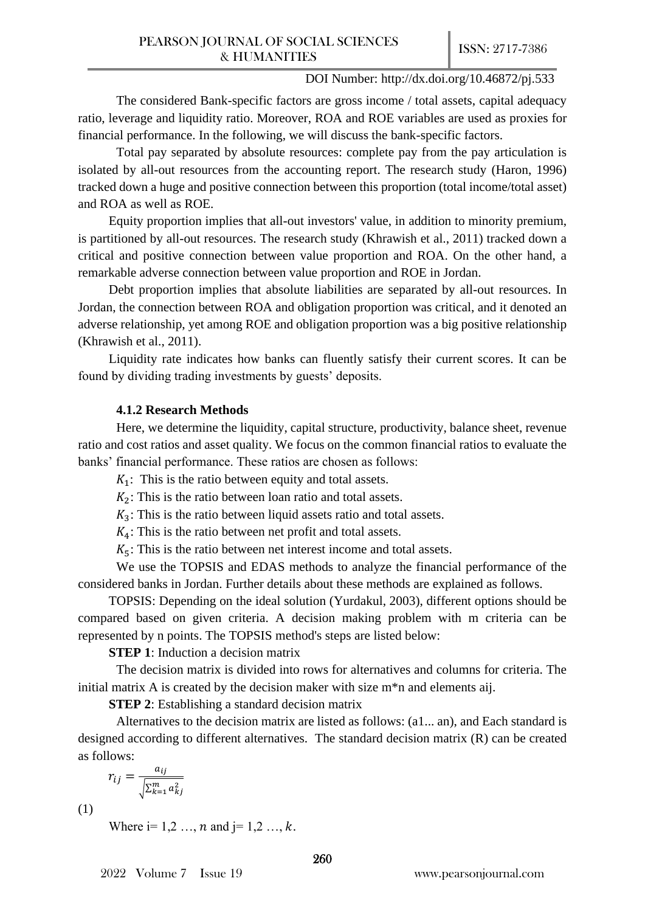The considered Bank-specific factors are gross income / total assets, capital adequacy ratio, leverage and liquidity ratio. Moreover, ROA and ROE variables are used as proxies for financial performance. In the following, we will discuss the bank-specific factors.

Total pay separated by absolute resources: complete pay from the pay articulation is isolated by all-out resources from the accounting report. The research study (Haron, 1996) tracked down a huge and positive connection between this proportion (total income/total asset) and ROA as well as ROE.

Equity proportion implies that all-out investors' value, in addition to minority premium, is partitioned by all-out resources. The research study (Khrawish et al., 2011) tracked down a critical and positive connection between value proportion and ROA. On the other hand, a remarkable adverse connection between value proportion and ROE in Jordan.

Debt proportion implies that absolute liabilities are separated by all-out resources. In Jordan, the connection between ROA and obligation proportion was critical, and it denoted an adverse relationship, yet among ROE and obligation proportion was a big positive relationship (Khrawish et al., 2011).

Liquidity rate indicates how banks can fluently satisfy their current scores. It can be found by dividing trading investments by guests' deposits.

#### **4.1.2 Research Methods**

Here, we determine the liquidity, capital structure, productivity, balance sheet, revenue ratio and cost ratios and asset quality. We focus on the common financial ratios to evaluate the banks' financial performance. These ratios are chosen as follows:

 $K_1$ : This is the ratio between equity and total assets.

 $K_2$ : This is the ratio between loan ratio and total assets.

 $K<sub>3</sub>$ : This is the ratio between liquid assets ratio and total assets.

 $K_4$ : This is the ratio between net profit and total assets.

 $K_5$ : This is the ratio between net interest income and total assets.

We use the TOPSIS and EDAS methods to analyze the financial performance of the considered banks in Jordan. Further details about these methods are explained as follows.

TOPSIS: Depending on the ideal solution (Yurdakul, 2003), different options should be compared based on given criteria. A decision making problem with m criteria can be represented by n points. The TOPSIS method's steps are listed below:

**STEP 1:** Induction a decision matrix

The decision matrix is divided into rows for alternatives and columns for criteria. The initial matrix A is created by the decision maker with size m\*n and elements aij.

**STEP 2:** Establishing a standard decision matrix

Alternatives to the decision matrix are listed as follows: (a1... an), and Each standard is designed according to different alternatives. The standard decision matrix (R) can be created as follows:

$$
r_{ij} = \frac{a_{ij}}{\sqrt{\sum_{k=1}^{m} a_{kj}^2}}
$$

(1)

Where  $i=1,2...$ , *n* and  $i=1,2...$ , *k*.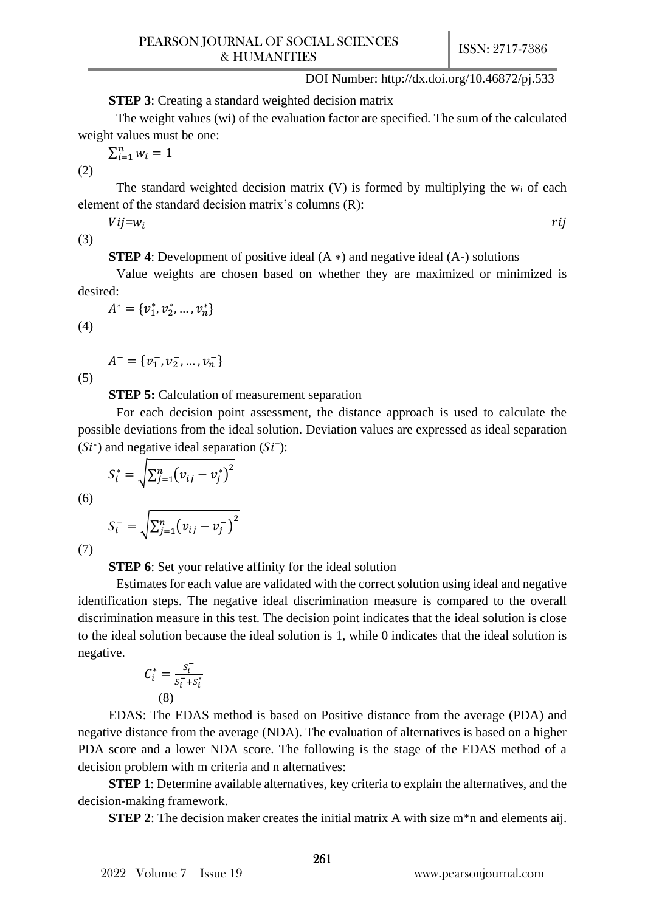**STEP 3**: Creating a standard weighted decision matrix

The weight values (wi) of the evaluation factor are specified. The sum of the calculated weight values must be one:

 $\sum_{i=1}^{n} w_i = 1$ 

(2)

The standard weighted decision matrix  $(V)$  is formed by multiplying the  $w_i$  of each element of the standard decision matrix's columns (R):

 $Vij = w_i$  rij

(3)

**STEP 4**: Development of positive ideal (A ∗) and negative ideal (A-) solutions

Value weights are chosen based on whether they are maximized or minimized is desired:

$$
A^* = \{v_1^*, v_2^*, \dots, v_n^*\}
$$

$$
(4)
$$

(5)

 $A^- = \{v_1^-, v_2^-, ..., v_n^-\}$ 

**STEP 5:** Calculation of measurement separation

2

For each decision point assessment, the distance approach is used to calculate the possible deviations from the ideal solution. Deviation values are expressed as ideal separation  $(Si^*)$  and negative ideal separation  $(Si^-)$ :

(6) 
$$
S_i^* = \sqrt{\sum_{j=1}^n (v_{ij} - v_j^*)^2}
$$

 $S_i^{-} = \sqrt{\sum_{j=1}^n (v_{ij} - v_j^{-})}$ 

(7)

**STEP 6**: Set your relative affinity for the ideal solution

Estimates for each value are validated with the correct solution using ideal and negative identification steps. The negative ideal discrimination measure is compared to the overall discrimination measure in this test. The decision point indicates that the ideal solution is close to the ideal solution because the ideal solution is 1, while 0 indicates that the ideal solution is negative.

$$
C_i^* = \frac{s_i^-}{s_i^- + s_i^*}
$$
\n(8)

EDAS: The EDAS method is based on Positive distance from the average (PDA) and negative distance from the average (NDA). The evaluation of alternatives is based on a higher PDA score and a lower NDA score. The following is the stage of the EDAS method of a decision problem with m criteria and n alternatives:

**STEP 1**: Determine available alternatives, key criteria to explain the alternatives, and the decision-making framework.

**STEP 2**: The decision maker creates the initial matrix A with size m<sup>\*</sup>n and elements aij.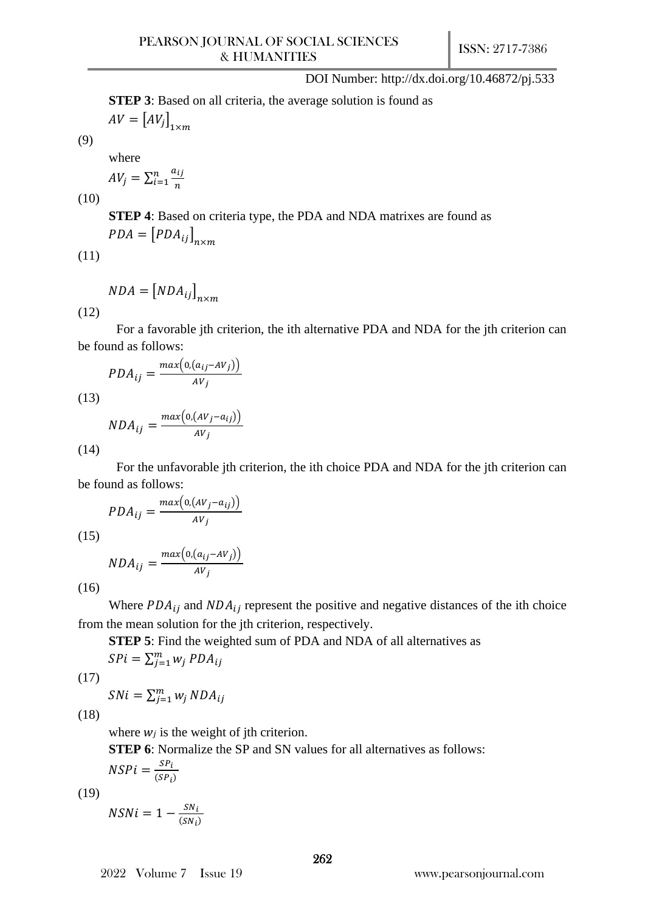**STEP 3**: Based on all criteria, the average solution is found as  $AV = [AV_j]_{1 \times m}$ 

where

$$
AV_j = \sum_{i=1}^n \frac{a_{ij}}{n}
$$

 $\overline{\phantom{a}}$ 

(10)

(9)

**STEP 4**: Based on criteria type, the PDA and NDA matrixes are found as  $PDA = [PDA_{ij}]_{n \times m}$ 

(11)

$$
NDA = [NDA_{ij}]_{n \times m}
$$

(12)

For a favorable jth criterion, the ith alternative PDA and NDA for the jth criterion can be found as follows:

$$
PDA_{ij} = \frac{max(0.(a_{ij} - AV_j))}{AV_j}
$$

(13)

$$
NDA_{ij} = \frac{max\left(0,(AV_j - a_{ij})\right)}{AV_j}
$$

(14)

For the unfavorable jth criterion, the ith choice PDA and NDA for the jth criterion can be found as follows:

$$
PDA_{ij} = \frac{max(o,(AV_j - a_{ij}))}{AV_j}
$$

(15)

$$
NDA_{ij} = \frac{max\left(0, (a_{ij} - AV_j)\right)}{AV_j}
$$

(16)

Where  $PDA_{ij}$  and  $NDA_{ij}$  represent the positive and negative distances of the ith choice from the mean solution for the jth criterion, respectively.

**STEP 5**: Find the weighted sum of PDA and NDA of all alternatives as

 $SPi = \sum_{j=1}^{m} w_j PDA_{ij}$ 

(17)

$$
SNi = \sum_{j=1}^{m} w_j NDA_{ij}
$$

(18)

where  $w_i$  is the weight of jth criterion.

**STEP 6**: Normalize the SP and SN values for all alternatives as follows:

$$
NSPi = \frac{SP_i}{(SP_i)}
$$

(19)

$$
NSNi = 1 - \frac{SN_i}{(SN_i)}
$$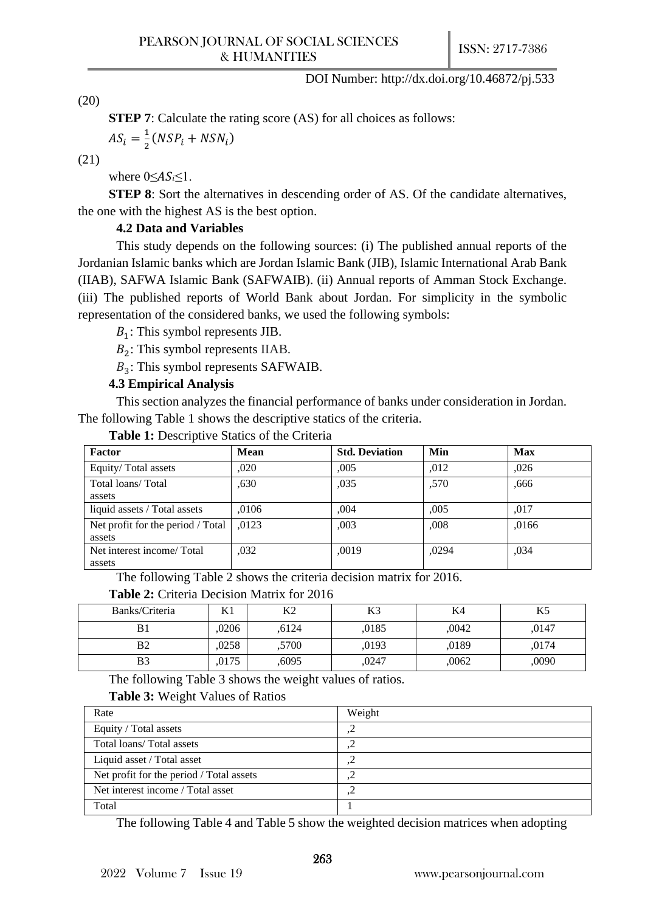(20)

**STEP 7**: Calculate the rating score (AS) for all choices as follows:

$$
AS_i = \frac{1}{2}(NSP_i + NSN_i)
$$

(21)

where  $0 \leq AS_i \leq 1$ .

**STEP 8**: Sort the alternatives in descending order of AS. Of the candidate alternatives, the one with the highest AS is the best option.

#### **4.2 Data and Variables**

This study depends on the following sources: (i) The published annual reports of the Jordanian Islamic banks which are Jordan Islamic Bank (JIB), Islamic International Arab Bank (IIAB), SAFWA Islamic Bank (SAFWAIB). (ii) Annual reports of Amman Stock Exchange. (iii) The published reports of World Bank about Jordan. For simplicity in the symbolic representation of the considered banks, we used the following symbols:

 $B_1$ : This symbol represents JIB.

 $B_2$ : This symbol represents IIAB.

 $B_3$ : This symbol represents SAFWAIB.

## **4.3 Empirical Analysis**

This section analyzes the financial performance of banks under consideration in Jordan. The following Table 1 shows the descriptive statics of the criteria.

| Factor                                      | <b>Mean</b> | <b>Std. Deviation</b> | Min   | <b>Max</b> |
|---------------------------------------------|-------------|-----------------------|-------|------------|
| Equity/Total assets                         | .020        | .005                  | .012  | ,026       |
| Total loans/Total<br>assets                 | ,630        | ,035                  | ,570  | .666       |
| liquid assets / Total assets                | .0106       | .004                  | .005  | .017       |
| Net profit for the period / Total<br>assets | .0123       | ,003                  | ,008  | ,0166      |
| Net interest income/Total<br>assets         | .032        | ,0019                 | .0294 | .034       |

**Table 1:** Descriptive Statics of the Criteria

The following Table 2 shows the criteria decision matrix for 2016.

|  |  | <b>Table 2:</b> Criteria Decision Matrix for 2016 |  |  |  |
|--|--|---------------------------------------------------|--|--|--|
|--|--|---------------------------------------------------|--|--|--|

| Banks/Criteria | T/T   | $V^{\wedge}$<br>∫⊾∡ | <b>17つ</b><br>ß. | K4    | IZ 5<br>L.J |
|----------------|-------|---------------------|------------------|-------|-------------|
|                | ,0206 | ,6124               | ,0185            | ,0042 | .0147       |
| B <sub>2</sub> | ,0258 | ,5700               | ,0193            | ,0189 | .0174       |
| B <sub>3</sub> | ,0175 | ,6095               | ,0247            | ,0062 | ,0090       |

The following Table 3 shows the weight values of ratios.

#### **Table 3:** Weight Values of Ratios

| Rate                                     | Weight |
|------------------------------------------|--------|
| Equity / Total assets                    |        |
| Total loans/Total assets                 | ے ہ    |
| Liquid asset / Total asset               | ے ہ    |
| Net profit for the period / Total assets | ے و    |
| Net interest income / Total asset        | ے و    |
| Total                                    |        |

The following Table 4 and Table 5 show the weighted decision matrices when adopting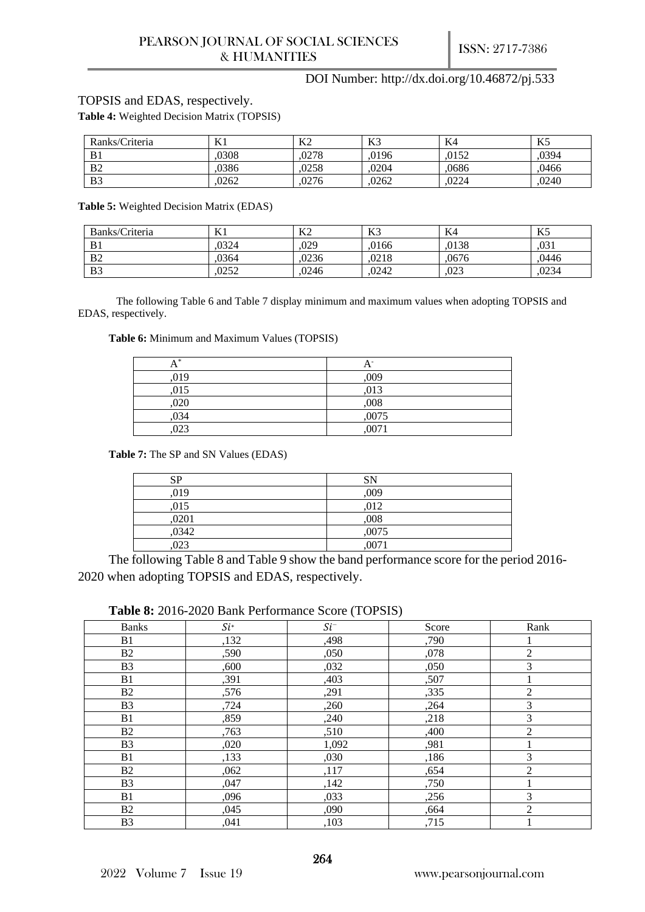#### TOPSIS and EDAS, respectively.

**Table 4:** Weighted Decision Matrix (TOPSIS)

| Ranks/Criteria | K1    | K <sub>2</sub> | K <sub>3</sub> | K4    | $V \subseteq$<br>LJ. |
|----------------|-------|----------------|----------------|-------|----------------------|
| B <sub>1</sub> | .0308 | .0278          | ,0196          | .0152 | .0394                |
| B <sub>2</sub> | .0386 | 0258           | .0204          | .0686 | .0466                |
| B <sub>3</sub> | .0262 | .0276          | .0262          | ,0224 | .0240                |

**Table 5:** Weighted Decision Matrix (EDAS)

| Banks/Criteria | K1    | K <sub>2</sub> | K <sub>3</sub> | K4    | $V \subseteq$<br>CZ1 |
|----------------|-------|----------------|----------------|-------|----------------------|
| B <sub>1</sub> | ,0324 | ,029           | .0166          | ,0138 | .031                 |
| B <sub>2</sub> | ,0364 | .0236          | .0218          | ,0676 | .0446                |
| B <sub>3</sub> | .0252 | .0246          | .0242          | ,023  | ,0234                |

The following Table 6 and Table 7 display minimum and maximum values when adopting TOPSIS and EDAS, respectively.

#### **Table 6:** Minimum and Maximum Values (TOPSIS)

| 水    | A     |
|------|-------|
| ,019 | ,009  |
| ,015 | ,013  |
| ,020 | ,008  |
| ,034 | ,0075 |
| 023  | ,0071 |

**Table 7:** The SP and SN Values (EDAS)

| ÇР    | <b>SN</b> |
|-------|-----------|
| 019   | ,009      |
| 015   | ,012      |
| ,0201 | ,008      |
| ,0342 | ,0075     |
| 023   | ,0071     |

The following Table 8 and Table 9 show the band performance score for the period 2016- 2020 when adopting TOPSIS and EDAS, respectively.

#### **Table 8:** 2016-2020 Bank Performance Score (TOPSIS)

| <b>Banks</b>   | $Si^*$ | $\mathit{Si}^-$ | Score | Rank           |
|----------------|--------|-----------------|-------|----------------|
| B1             | ,132   | ,498            | ,790  |                |
| B2             | ,590   | ,050            | ,078  | $\overline{c}$ |
| B <sub>3</sub> | ,600   | ,032            | ,050  | 3              |
| B1             | ,391   | ,403            | ,507  |                |
| B2             | ,576   | ,291            | ,335  | $\overline{2}$ |
| B <sub>3</sub> | ,724   | ,260            | ,264  | 3              |
| B1             | ,859   | ,240            | ,218  | 3              |
| B2             | ,763   | ,510            | ,400  | $\overline{2}$ |
| B <sub>3</sub> | ,020   | 1,092           | ,981  |                |
| B1             | ,133   | ,030            | ,186  | 3              |
| B2             | ,062   | ,117            | ,654  | $\overline{2}$ |
| B <sub>3</sub> | ,047   | ,142            | ,750  |                |
| B1             | ,096   | ,033            | ,256  | 3              |
| B <sub>2</sub> | ,045   | ,090            | ,664  | 2              |
| B <sub>3</sub> | ,041   | ,103            | ,715  |                |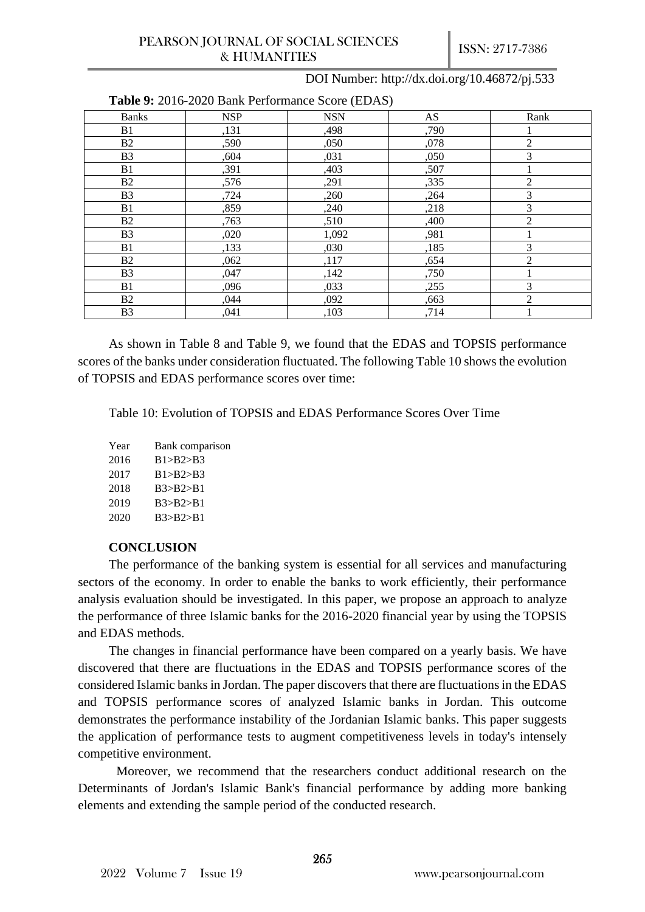| <b>Table 9.</b> 2010-2020 Bally Ferrormance Score (EDAS) |            |            |      |                |
|----------------------------------------------------------|------------|------------|------|----------------|
| <b>Banks</b>                                             | <b>NSP</b> | <b>NSN</b> | AS   | Rank           |
| <b>B</b> 1                                               | ,131       | ,498       | ,790 |                |
| B2                                                       | ,590       | ,050       | ,078 | 2              |
| B <sub>3</sub>                                           | ,604       | ,031       | ,050 | 3              |
| B1                                                       | ,391       | ,403       | ,507 |                |
| <b>B2</b>                                                | ,576       | ,291       | ,335 | 2              |
| B <sub>3</sub>                                           | ,724       | ,260       | ,264 | 3              |
| B1                                                       | ,859       | ,240       | ,218 | 3              |
| <b>B2</b>                                                | ,763       | ,510       | ,400 | 2              |
| B <sub>3</sub>                                           | ,020       | 1,092      | ,981 |                |
| <b>B</b> 1                                               | ,133       | ,030       | ,185 | 3              |
| B2                                                       | ,062       | ,117       | ,654 | $\mathfrak{D}$ |
| <b>B3</b>                                                | ,047       | ,142       | ,750 |                |
| B1                                                       | ,096       | ,033       | ,255 | 3              |
| <b>B2</b>                                                | ,044       | ,092       | ,663 | 2              |
| B <sub>3</sub>                                           | ,041       | ,103       | ,714 |                |

**Table 9:** 2016-2020 Bank Performance Score (EDAS)

As shown in Table 8 and Table 9, we found that the EDAS and TOPSIS performance scores of the banks under consideration fluctuated. The following Table 10 shows the evolution of TOPSIS and EDAS performance scores over time:

Table 10: Evolution of TOPSIS and EDAS Performance Scores Over Time

| Year | Bank comparison |
|------|-----------------|
| 2016 | B1 > B2 > B3    |
| 2017 | B1 > B2 > B3    |
| 2018 | B3 > B2 > B1    |
| 2019 | B3 > B2 > B1    |
| 2020 | B3 > B2 > B1    |

#### **CONCLUSION**

The performance of the banking system is essential for all services and manufacturing sectors of the economy. In order to enable the banks to work efficiently, their performance analysis evaluation should be investigated. In this paper, we propose an approach to analyze the performance of three Islamic banks for the 2016-2020 financial year by using the TOPSIS and EDAS methods.

The changes in financial performance have been compared on a yearly basis. We have discovered that there are fluctuations in the EDAS and TOPSIS performance scores of the considered Islamic banks in Jordan. The paper discovers that there are fluctuations in the EDAS and TOPSIS performance scores of analyzed Islamic banks in Jordan. This outcome demonstrates the performance instability of the Jordanian Islamic banks. This paper suggests the application of performance tests to augment competitiveness levels in today's intensely competitive environment.

Moreover, we recommend that the researchers conduct additional research on the Determinants of Jordan's Islamic Bank's financial performance by adding more banking elements and extending the sample period of the conducted research.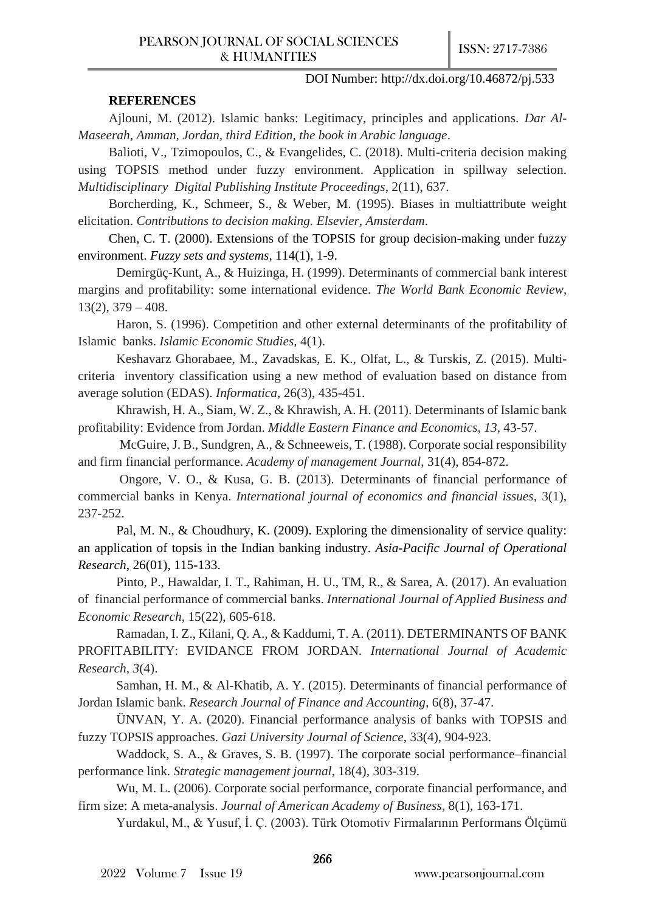#### **REFERENCES**

Ajlouni, M. (2012). Islamic banks: Legitimacy, principles and applications. *Dar Al-Maseerah, Amman, Jordan, third Edition, the book in Arabic language*.

Balioti, V., Tzimopoulos, C., & Evangelides, C. (2018). Multi-criteria decision making using TOPSIS method under fuzzy environment. Application in spillway selection. *Multidisciplinary Digital Publishing Institute Proceedings*, 2(11), 637.

Borcherding, K., Schmeer, S., & Weber, M. (1995). Biases in multiattribute weight elicitation. *Contributions to decision making. Elsevier, Amsterdam*.

Chen, C. T. (2000). Extensions of the TOPSIS for group decision-making under fuzzy environment. *Fuzzy sets and systems*, 114(1), 1-9.

Demirgüç-Kunt, A., & Huizinga, H. (1999). Determinants of commercial bank interest margins and profitability: some international evidence. *The World Bank Economic Review*,  $13(2)$ ,  $379 - 408$ .

Haron, S. (1996). Competition and other external determinants of the profitability of Islamic banks. *Islamic Economic Studies*, 4(1).

Keshavarz Ghorabaee, M., Zavadskas, E. K., Olfat, L., & Turskis, Z. (2015). Multicriteria inventory classification using a new method of evaluation based on distance from average solution (EDAS). *Informatica*, 26(3), 435-451.

Khrawish, H. A., Siam, W. Z., & Khrawish, A. H. (2011). Determinants of Islamic bank profitability: Evidence from Jordan. *Middle Eastern Finance and Economics*, *13*, 43-57.

McGuire, J. B., Sundgren, A., & Schneeweis, T. (1988). Corporate social responsibility and firm financial performance. *Academy of management Journal*, 31(4), 854-872.

Ongore, V. O., & Kusa, G. B. (2013). Determinants of financial performance of commercial banks in Kenya. *International journal of economics and financial issues*, 3(1), 237-252.

 Pal, M. N., & Choudhury, K. (2009). Exploring the dimensionality of service quality: an application of topsis in the Indian banking industry. *Asia-Pacific Journal of Operational Research*, 26(01), 115-133.

 Pinto, P., Hawaldar, I. T., Rahiman, H. U., TM, R., & Sarea, A. (2017). An evaluation of financial performance of commercial banks. *International Journal of Applied Business and Economic Research*, 15(22), 605-618.

 Ramadan, I. Z., Kilani, Q. A., & Kaddumi, T. A. (2011). DETERMINANTS OF BANK PROFITABILITY: EVIDANCE FROM JORDAN. *International Journal of Academic Research*, *3*(4).

 Samhan, H. M., & Al-Khatib, A. Y. (2015). Determinants of financial performance of Jordan Islamic bank. *Research Journal of Finance and Accounting*, 6(8), 37-47.

 ÜNVAN, Y. A. (2020). Financial performance analysis of banks with TOPSIS and fuzzy TOPSIS approaches. *Gazi University Journal of Science*, 33(4), 904-923.

 Waddock, S. A., & Graves, S. B. (1997). The corporate social performance–financial performance link. *Strategic management journal*, 18(4), 303-319.

 Wu, M. L. (2006). Corporate social performance, corporate financial performance, and firm size: A meta-analysis. *Journal of American Academy of Business*, 8(1), 163-171.

Yurdakul, M., & Yusuf, İ. Ç. (2003). Türk Otomotiv Firmalarının Performans Ölçümü